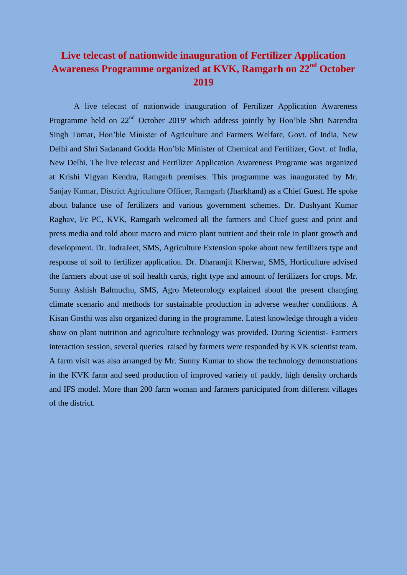## **Live telecast of nationwide inauguration of Fertilizer Application Awareness Programme organized at KVK, Ramgarh on 22nd October 2019**

A live telecast of nationwide inauguration of Fertilizer Application Awareness Programme held on 22<sup>nd</sup> October 2019' which address jointly by Hon'ble Shri Narendra Singh Tomar, Hon'ble Minister of Agriculture and Farmers Welfare, Govt. of India, New Delhi and Shri Sadanand Godda Hon'ble Minister of Chemical and Fertilizer, Govt. of India, New Delhi. The live telecast and Fertilizer Application Awareness Programe was organized at Krishi Vigyan Kendra, Ramgarh premises. This programme was inaugurated by Mr. Sanjay Kumar, District Agriculture Officer, Ramgarh (Jharkhand) as a Chief Guest. He spoke about balance use of fertilizers and various government schemes. Dr. Dushyant Kumar Raghav, I/c PC, KVK, Ramgarh welcomed all the farmers and Chief guest and print and press media and told about macro and micro plant nutrient and their role in plant growth and development. Dr. IndraJeet, SMS, Agriculture Extension spoke about new fertilizers type and response of soil to fertilizer application. Dr. Dharamjit Kherwar, SMS, Horticulture advised the farmers about use of soil health cards, right type and amount of fertilizers for crops. Mr. Sunny Ashish Balmuchu, SMS, Agro Meteorology explained about the present changing climate scenario and methods for sustainable production in adverse weather conditions. A Kisan Gosthi was also organized during in the programme. Latest knowledge through a video show on plant nutrition and agriculture technology was provided. During Scientist- Farmers interaction session, several queries raised by farmers were responded by KVK scientist team. A farm visit was also arranged by Mr. Sunny Kumar to show the technology demonstrations in the KVK farm and seed production of improved variety of paddy, high density orchards and IFS model. More than 200 farm woman and farmers participated from different villages of the district.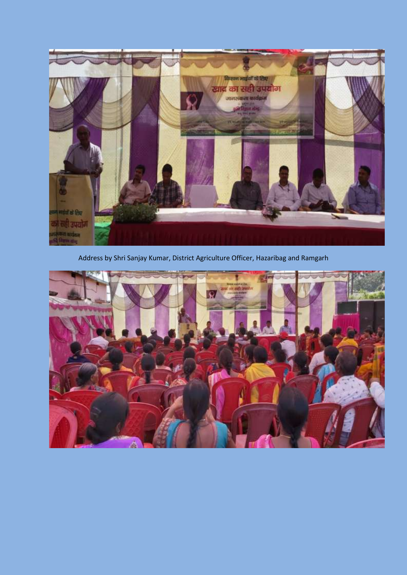

Address by Shri Sanjay Kumar, District Agriculture Officer, Hazaribag and Ramgarh